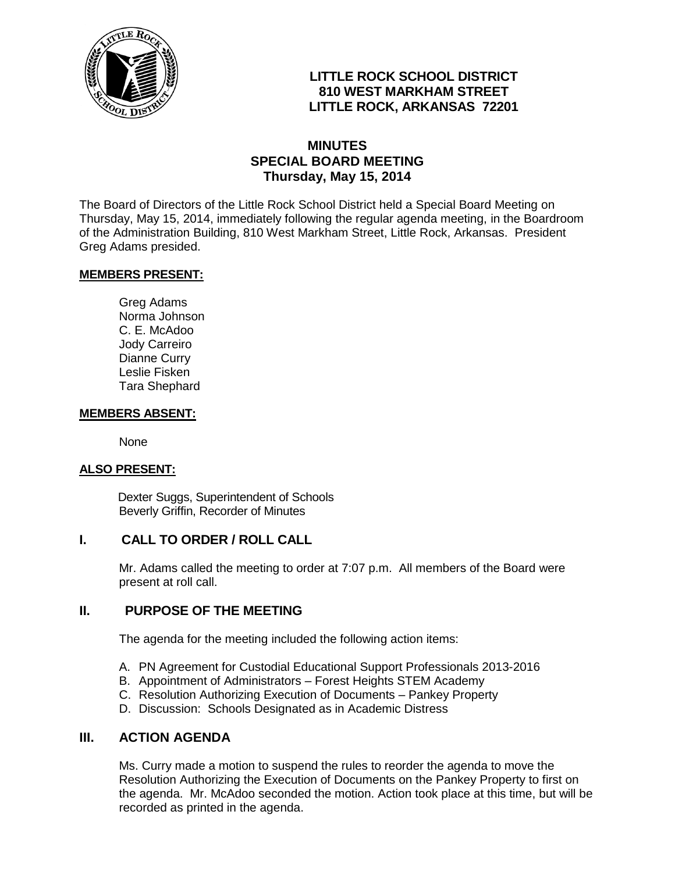

## **LITTLE ROCK SCHOOL DISTRICT 810 WEST MARKHAM STREET LITTLE ROCK, ARKANSAS 72201**

### **MINUTES SPECIAL BOARD MEETING Thursday, May 15, 2014**

The Board of Directors of the Little Rock School District held a Special Board Meeting on Thursday, May 15, 2014, immediately following the regular agenda meeting, in the Boardroom of the Administration Building, 810 West Markham Street, Little Rock, Arkansas. President Greg Adams presided.

#### **MEMBERS PRESENT:**

Greg Adams Norma Johnson C. E. McAdoo Jody Carreiro Dianne Curry Leslie Fisken Tara Shephard

#### **MEMBERS ABSENT:**

None

#### **ALSO PRESENT:**

 Dexter Suggs, Superintendent of Schools Beverly Griffin, Recorder of Minutes

### **I. CALL TO ORDER / ROLL CALL**

Mr. Adams called the meeting to order at 7:07 p.m. All members of the Board were present at roll call.

### **II. PURPOSE OF THE MEETING**

The agenda for the meeting included the following action items:

- A. PN Agreement for Custodial Educational Support Professionals 2013-2016
- B. Appointment of Administrators Forest Heights STEM Academy
- C. Resolution Authorizing Execution of Documents Pankey Property
- D. Discussion: Schools Designated as in Academic Distress

### **III. ACTION AGENDA**

Ms. Curry made a motion to suspend the rules to reorder the agenda to move the Resolution Authorizing the Execution of Documents on the Pankey Property to first on the agenda. Mr. McAdoo seconded the motion. Action took place at this time, but will be recorded as printed in the agenda.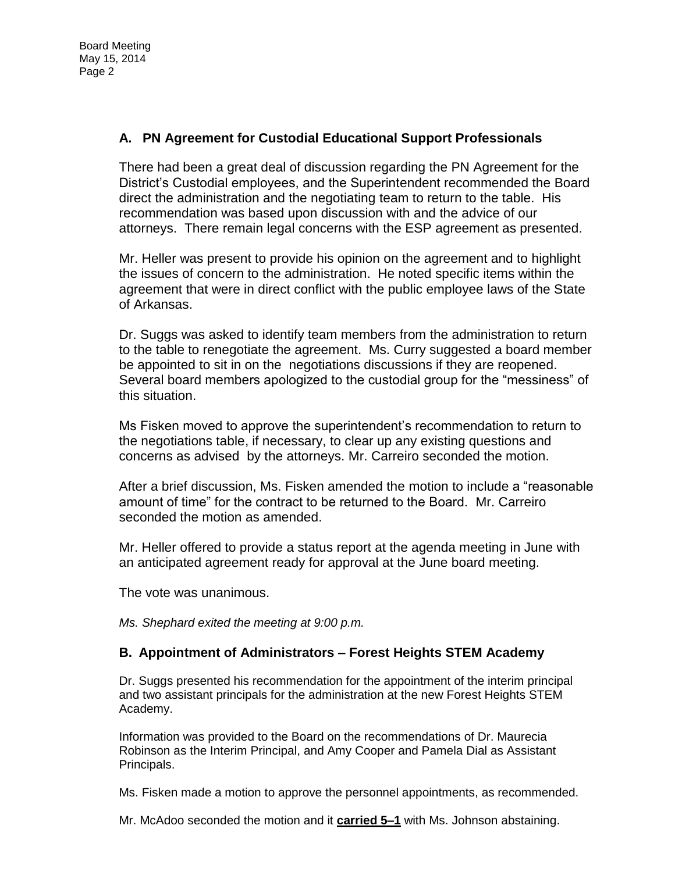# **A. PN Agreement for Custodial Educational Support Professionals**

There had been a great deal of discussion regarding the PN Agreement for the District's Custodial employees, and the Superintendent recommended the Board direct the administration and the negotiating team to return to the table. His recommendation was based upon discussion with and the advice of our attorneys. There remain legal concerns with the ESP agreement as presented.

Mr. Heller was present to provide his opinion on the agreement and to highlight the issues of concern to the administration. He noted specific items within the agreement that were in direct conflict with the public employee laws of the State of Arkansas.

Dr. Suggs was asked to identify team members from the administration to return to the table to renegotiate the agreement. Ms. Curry suggested a board member be appointed to sit in on the negotiations discussions if they are reopened. Several board members apologized to the custodial group for the "messiness" of this situation.

Ms Fisken moved to approve the superintendent's recommendation to return to the negotiations table, if necessary, to clear up any existing questions and concerns as advised by the attorneys. Mr. Carreiro seconded the motion.

After a brief discussion, Ms. Fisken amended the motion to include a "reasonable amount of time" for the contract to be returned to the Board. Mr. Carreiro seconded the motion as amended.

Mr. Heller offered to provide a status report at the agenda meeting in June with an anticipated agreement ready for approval at the June board meeting.

The vote was unanimous.

*Ms. Shephard exited the meeting at 9:00 p.m.* 

### **B. Appointment of Administrators – Forest Heights STEM Academy**

Dr. Suggs presented his recommendation for the appointment of the interim principal and two assistant principals for the administration at the new Forest Heights STEM Academy.

Information was provided to the Board on the recommendations of Dr. Maurecia Robinson as the Interim Principal, and Amy Cooper and Pamela Dial as Assistant Principals.

Ms. Fisken made a motion to approve the personnel appointments, as recommended.

Mr. McAdoo seconded the motion and it **carried 5–1** with Ms. Johnson abstaining.